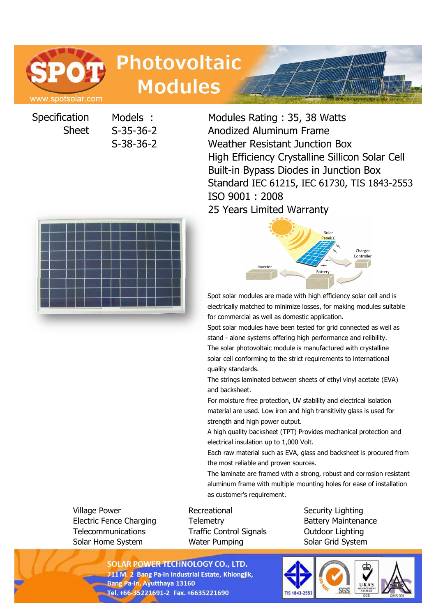

# **Photovoltaic Modules**

Specification Sheet

Models : Modules Rating : 35, 38 Watts S-35-36-2 Anodized Aluminum Frame S-38-36-2 Weather Resistant Junction Box High Efficiency Crystalline Sillicon Solar Cell Built-in Bypass Diodes in Junction Box Standard IEC 61215, IEC 61730, TIS 1843-2553 ISO 9001 : 2008 25 Years Limited Warranty





Spot solar modules are made with high efficiency solar cell and is electrically matched to minimize losses, for making modules suitable for commercial as well as domestic application.

Spot solar modules have been tested for grid connected as well as stand - alone systems offering high performance and relibility. The solar photovoltaic module is manufactured with crystalline solar cell conforming to the strict requirements to international quality standards.

The strings laminated between sheets of ethyl vinyl acetate (EVA) and backsheet.

For moisture free protection, UV stability and electrical isolation material are used. Low iron and high transitivity glass is used for strength and high power output.

A high quality backsheet (TPT) Provides mechanical protection and electrical insulation up to 1,000 Volt.

Each raw material such as EVA, glass and backsheet is procured from the most reliable and proven sources.

The laminate are framed with a strong, robust and corrosion resistant aluminum frame with multiple mounting holes for ease of installation as customer's requirement.

Village Power **Recreational** Security Lighting Security Lighting Electric Fence Charging Telemetry Battery Maintenance Telecommunications Traffic Control Signals Outdoor Lighting Solar Home System **Water Pumping Solar Grid System** Solar Grid System

**SOLAR POWER TECHNOLOGY CO., LTD.** 711 M. 2 Bang Pa-In Industrial Estate, Khlongjik, **Bang Pa-In, Ayutthaya 13160** Tel. +66-35221691-2 Fax. +6635221690